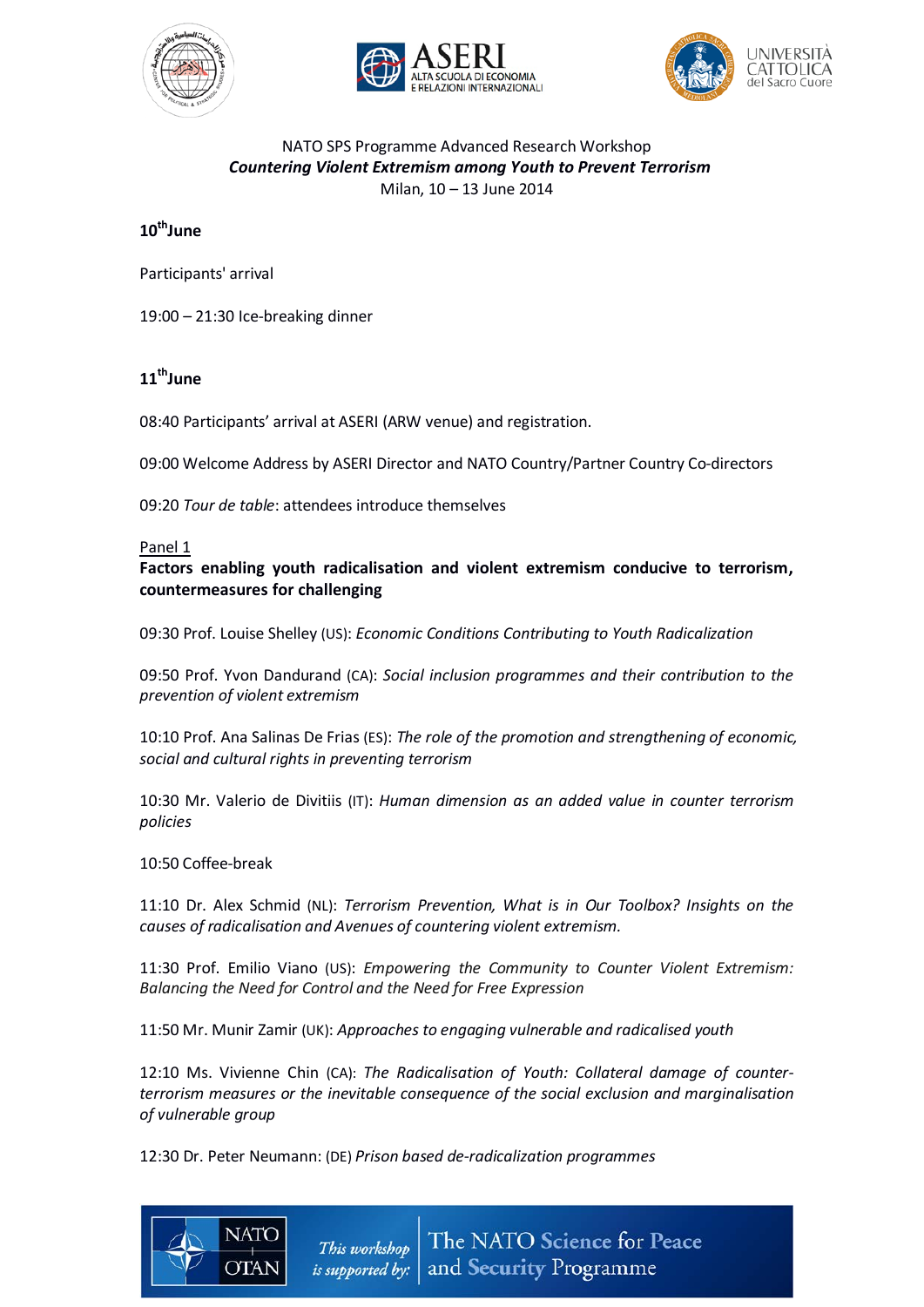





### NATO SPS Programme Advanced Research Workshop *Countering Violent Extremism among Youth to Prevent Terrorism* Milan, 10 – 13 June 2014

# 10<sup>th</sup>June

Participants' arrival

19:00 – 21:30 Ice-breaking dinner

# 11<sup>th</sup>June

08:40 Participants' arrival at ASERI (ARW venue) and registration.

09:00 Welcome Address by ASERI Director and NATO Country/Partner Country Co-directors

09:20 *Tour de table*: attendees introduce themselves

### Panel 1

## **Factors enabling youth radicalisation and violent extremism conducive to terrorism, countermeasures for challenging**

09:30 Prof. Louise Shelley (US): *Economic Conditions Contributing to Youth Radicalization*

09:50 Prof. Yvon Dandurand (CA): *Social inclusion programmes and their contribution to the prevention of violent extremism*

10:10 Prof. Ana Salinas De Frias (ES): *The role of the promotion and strengthening of economic, social and cultural rights in preventing terrorism*

10:30 Mr. Valerio de Divitiis (IT): *Human dimension as an added value in counter terrorism policies*

### 10:50 Coffee-break

11:10 Dr. Alex Schmid (NL): *Terrorism Prevention, What is in Our Toolbox? Insights on the causes of radicalisation and Avenues of countering violent extremism.*

11:30 Prof. Emilio Viano (US): *Empowering the Community to Counter Violent Extremism: Balancing the Need for Control and the Need for Free Expression*

11:50 Mr. Munir Zamir (UK): *Approaches to engaging vulnerable and radicalised youth*

12:10 Ms. Vivienne Chin (CA): *The Radicalisation of Youth: Collateral damage of counterterrorism measures or the inevitable consequence of the social exclusion and marginalisation of vulnerable group*

12:30 Dr. Peter Neumann: (DE) *Prison based de-radicalization programmes*

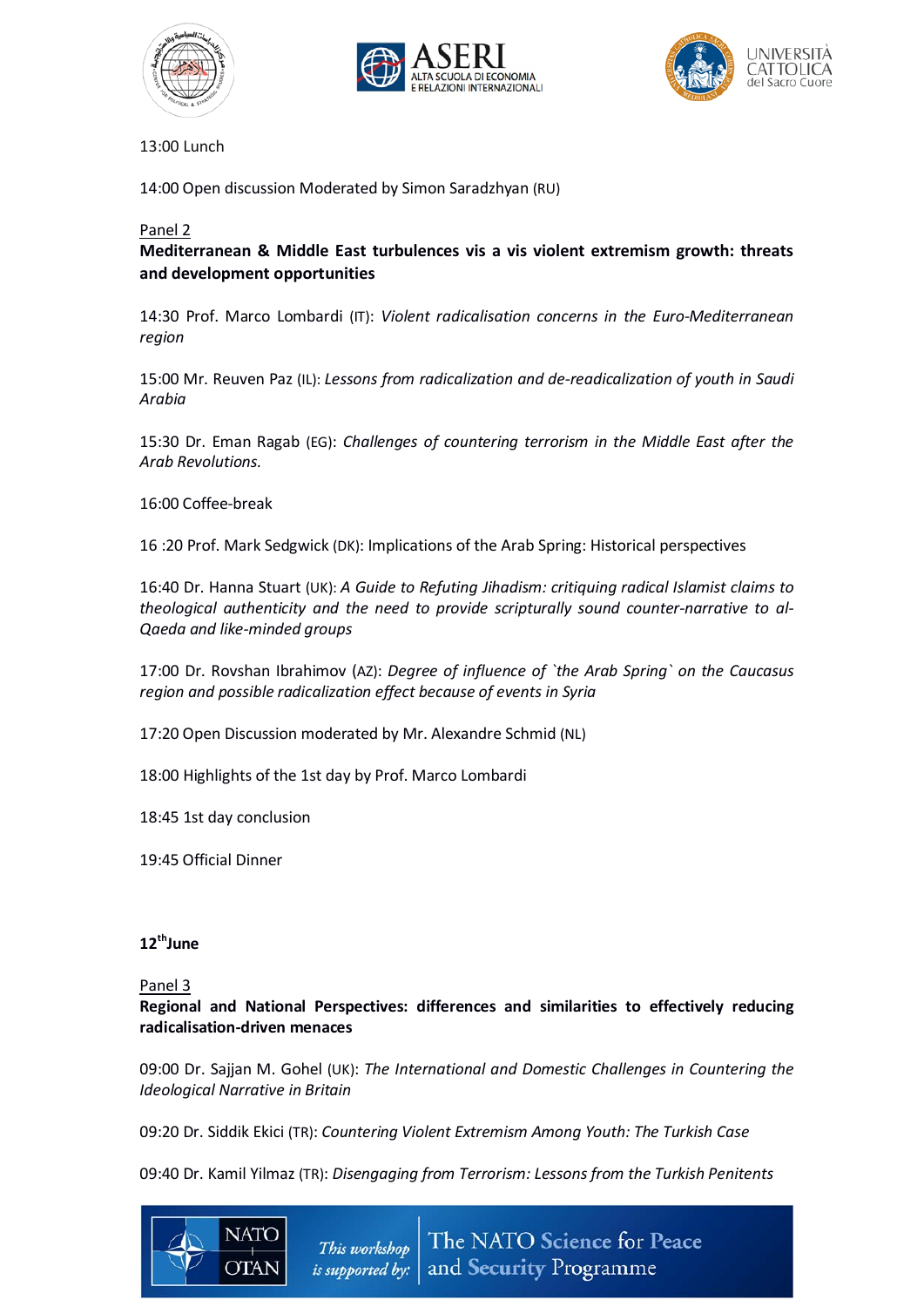





13:00 Lunch

14:00 Open discussion Moderated by Simon Saradzhyan (RU)

#### Panel 2

**Mediterranean & Middle East turbulences vis a vis violent extremism growth: threats and development opportunities**

14:30 Prof. Marco Lombardi (IT): *Violent radicalisation concerns in the Euro-Mediterranean region*

15:00 Mr. Reuven Paz (IL): *Lessons from radicalization and de-readicalization of youth in Saudi Arabia*

15:30 Dr. Eman Ragab (EG): *Challenges of countering terrorism in the Middle East after the Arab Revolutions.*

16:00 Coffee-break

16 :20 Prof. Mark Sedgwick (DK): Implications of the Arab Spring: Historical perspectives

16:40 Dr. Hanna Stuart (UK): *A Guide to Refuting Jihadism: critiquing radical Islamist claims to theological authenticity and the need to provide scripturally sound counter-narrative to al-Qaeda and like-minded groups*

17:00 Dr. Rovshan Ibrahimov (AZ): *Degree of influence of `the Arab Spring` on the Caucasus region and possible radicalization effect because of events in Syria*

17:20 Open Discussion moderated by Mr. Alexandre Schmid (NL)

18:00 Highlights of the 1st day by Prof. Marco Lombardi

18:45 1st day conclusion

19:45 Official Dinner

## 12<sup>th</sup>June

Panel 3

**Regional and National Perspectives: differences and similarities to effectively reducing radicalisation-driven menaces**

09:00 Dr. Sajjan M. Gohel (UK): *The International and Domestic Challenges in Countering the Ideological Narrative in Britain*

09:20 Dr. Siddik Ekici (TR): *Countering Violent Extremism Among Youth: The Turkish Case*

09:40 Dr. Kamil Yilmaz (TR): *Disengaging from Terrorism: Lessonsfrom the Turkish Penitents*

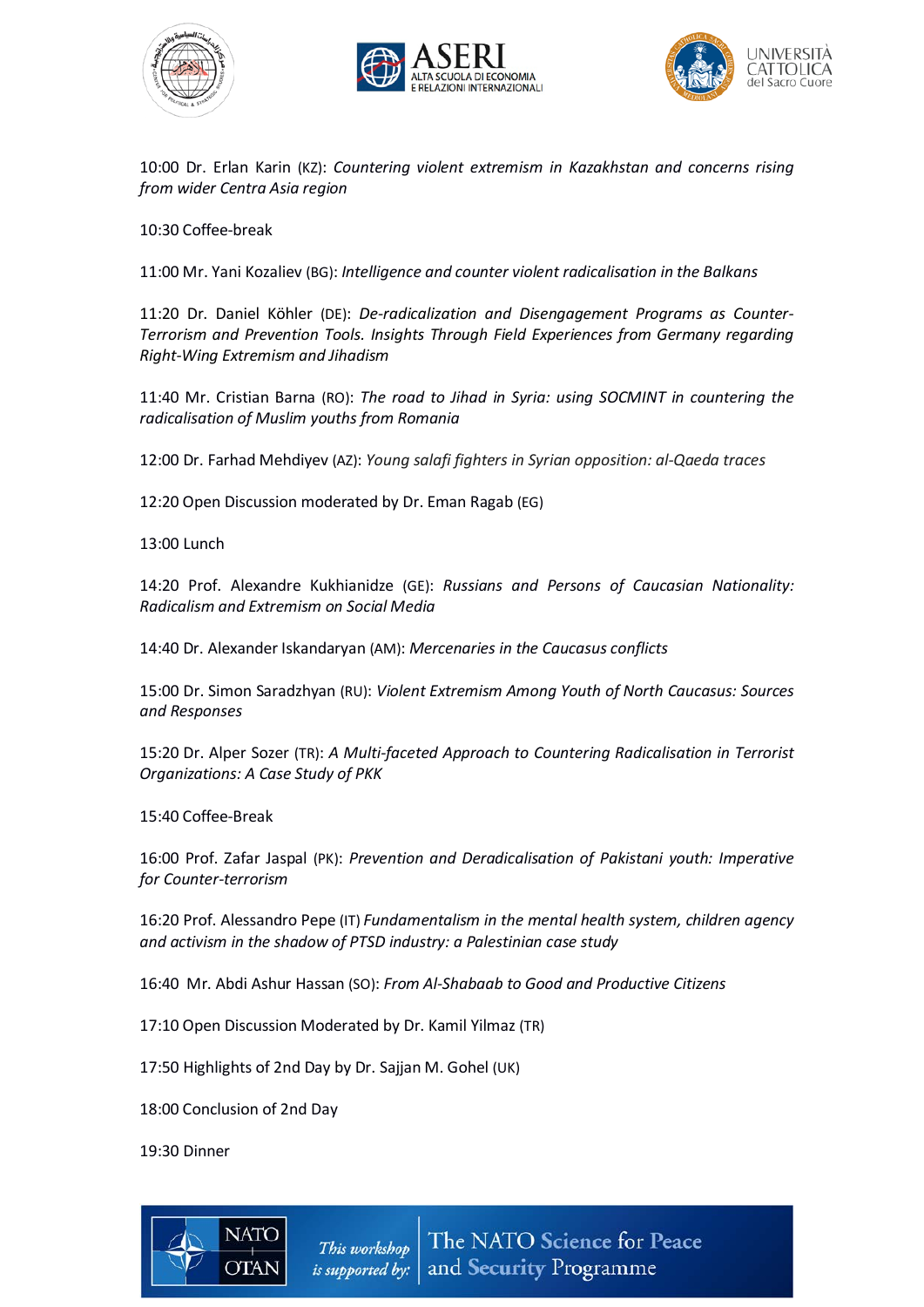





10:00 Dr. Erlan Karin (KZ): *Countering violent extremism in Kazakhstan and concerns rising from wider Centra Asia region* 

10:30 Coffee-break

11:00 Mr. Yani Kozaliev (BG): *Intelligence and counter violent radicalisation in the Balkans*

11:20 Dr. Daniel Köhler (DE): *De-radicalization and Disengagement Programs as Counter-Terrorism and Prevention Tools. Insights Through Field Experiences from Germany regarding Right-Wing Extremism and Jihadism*

11:40 Mr. Cristian Barna (RO): *The road to Jihad in Syria: using SOCMINT in countering the radicalisation of Muslim youths from Romania*

12:00 Dr. Farhad Mehdiyev (AZ): *Young salafi fighters in Syrian opposition: al-Qaeda traces*

12:20 Open Discussion moderated by Dr. Eman Ragab (EG)

13:00 Lunch

14:20 Prof. Alexandre Kukhianidze (GE): *Russians and Persons of Caucasian Nationality: Radicalism and Extremism on Social Media*

14:40 Dr. Alexander Iskandaryan (AM): *Mercenaries in the Caucasus conflicts*

15:00 Dr. Simon Saradzhyan (RU): *Violent Extremism Among Youth of North Caucasus: Sources and Responses*

15:20 Dr. Alper Sozer (TR): *A Multi-faceted Approach to Countering Radicalisation in Terrorist Organizations: A Case Study of PKK*

15:40 Coffee-Break

16:00 Prof. Zafar Jaspal (PK): *Prevention and Deradicalisation of Pakistani youth: Imperative for Counter-terrorism*

16:20 Prof. Alessandro Pepe (IT) *Fundamentalism in the mental health system, children agency and activism in the shadow of PTSD industry: a Palestinian case study*

16:40 Mr. Abdi Ashur Hassan (SO): *From Al-Shabaab to Good and Productive Citizens*

17:10 Open Discussion Moderated by Dr. Kamil Yilmaz (TR)

17:50 Highlights of 2nd Day by Dr. Sajjan M. Gohel (UK)

18:00 Conclusion of 2nd Day

19:30 Dinner